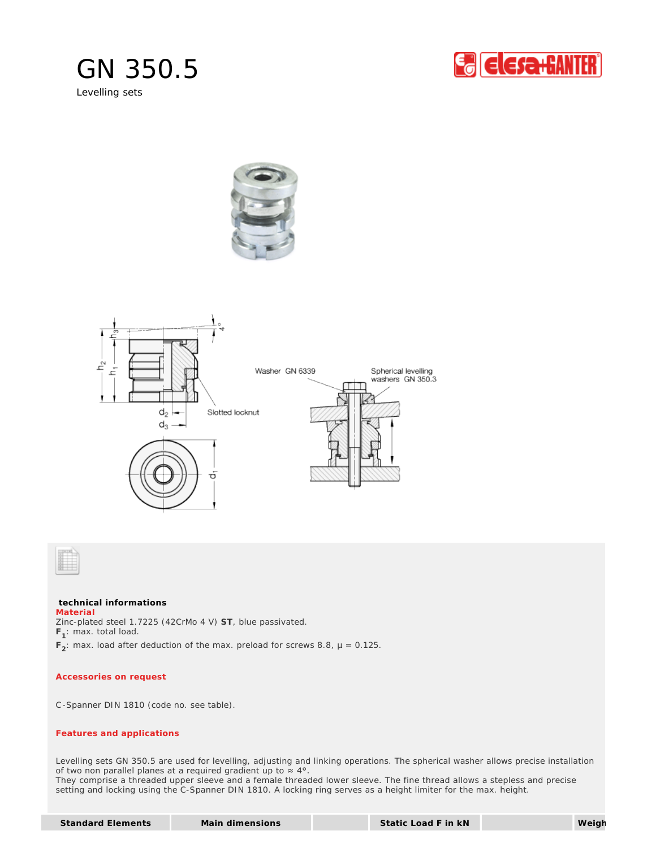

Levelling sets









## **technical informations**

Zinc-plated steel 1.7225 (42CrMo 4 V) **ST**, blue passivated. **F<sup>1</sup>** : max. total load. **F<sup>2</sup>** : max. load after deduction of the max. preload for screws 8.8, µ = 0.125. **Material**

## *Accessories on request*

C-Spanner DIN 1810 (code no. see table).

## *Features and applications*

Levelling sets GN 350.5 are used for levelling, adjusting and linking operations. The spherical washer allows precise installation of two non parallel planes at a required gradient up to  $\approx 4^{\circ}$ . They comprise a threaded upper sleeve and a female threaded lower sleeve. The fine thread allows a stepless and precise setting and locking using the C-Spanner DIN 1810. A locking ring serves as a height limiter for the max. height.